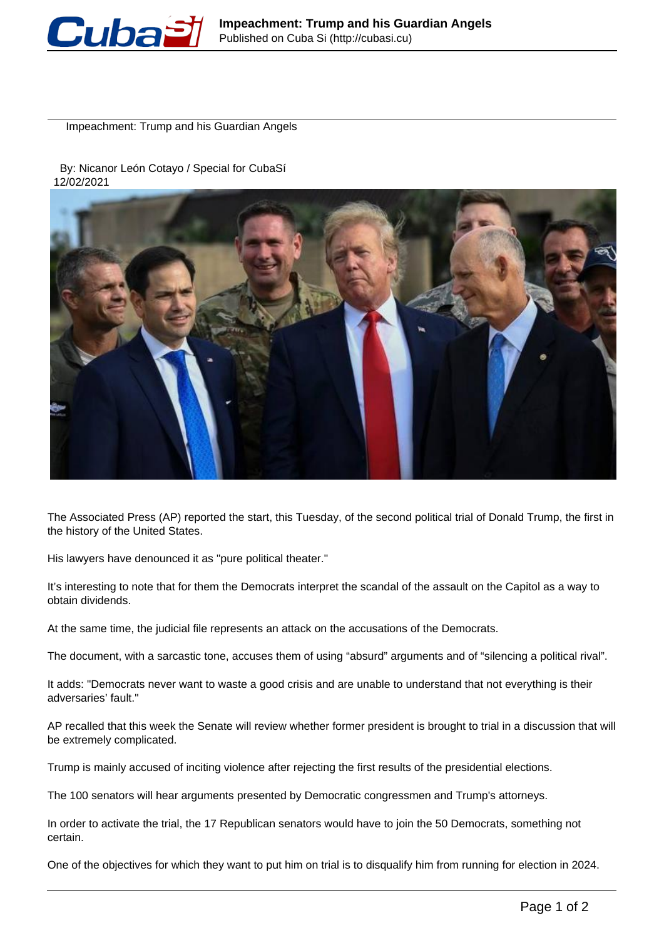

Impeachment: Trump and his Guardian Angels

 By: Nicanor León Cotayo / Special for CubaSí 12/02/2021



The Associated Press (AP) reported the start, this Tuesday, of the second political trial of Donald Trump, the first in the history of the United States.

His lawyers have denounced it as "pure political theater."

It's interesting to note that for them the Democrats interpret the scandal of the assault on the Capitol as a way to obtain dividends.

At the same time, the judicial file represents an attack on the accusations of the Democrats.

The document, with a sarcastic tone, accuses them of using "absurd" arguments and of "silencing a political rival".

It adds: "Democrats never want to waste a good crisis and are unable to understand that not everything is their adversaries' fault."

AP recalled that this week the Senate will review whether former president is brought to trial in a discussion that will be extremely complicated.

Trump is mainly accused of inciting violence after rejecting the first results of the presidential elections.

The 100 senators will hear arguments presented by Democratic congressmen and Trump's attorneys.

In order to activate the trial, the 17 Republican senators would have to join the 50 Democrats, something not certain.

One of the objectives for which they want to put him on trial is to disqualify him from running for election in 2024.